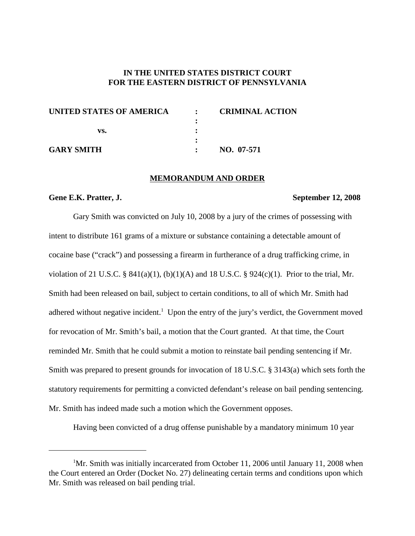## **IN THE UNITED STATES DISTRICT COURT FOR THE EASTERN DISTRICT OF PENNSYLVANIA**

| UNITED STATES OF AMERICA | $\mathbf{r}$ | <b>CRIMINAL ACTION</b> |
|--------------------------|--------------|------------------------|
|                          |              |                        |
| vs.                      |              |                        |
|                          |              |                        |
| <b>GARY SMITH</b>        |              | NO. 07-571             |

### **MEMORANDUM AND ORDER**

### **Gene E.K. Pratter, J. September 12, 2008**

Gary Smith was convicted on July 10, 2008 by a jury of the crimes of possessing with intent to distribute 161 grams of a mixture or substance containing a detectable amount of cocaine base ("crack") and possessing a firearm in furtherance of a drug trafficking crime, in violation of 21 U.S.C. § 841(a)(1), (b)(1)(A) and 18 U.S.C. § 924(c)(1). Prior to the trial, Mr. Smith had been released on bail, subject to certain conditions, to all of which Mr. Smith had adhered without negative incident.<sup>1</sup> Upon the entry of the jury's verdict, the Government moved for revocation of Mr. Smith's bail, a motion that the Court granted. At that time, the Court reminded Mr. Smith that he could submit a motion to reinstate bail pending sentencing if Mr. Smith was prepared to present grounds for invocation of 18 U.S.C. § 3143(a) which sets forth the statutory requirements for permitting a convicted defendant's release on bail pending sentencing. Mr. Smith has indeed made such a motion which the Government opposes.

Having been convicted of a drug offense punishable by a mandatory minimum 10 year

<sup>&</sup>lt;sup>1</sup>Mr. Smith was initially incarcerated from October 11, 2006 until January 11, 2008 when the Court entered an Order (Docket No. 27) delineating certain terms and conditions upon which Mr. Smith was released on bail pending trial.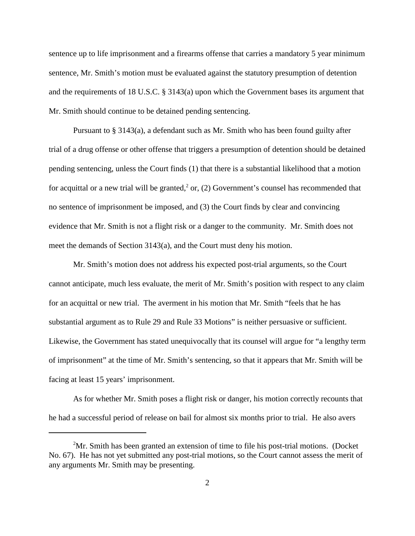sentence up to life imprisonment and a firearms offense that carries a mandatory 5 year minimum sentence, Mr. Smith's motion must be evaluated against the statutory presumption of detention and the requirements of 18 U.S.C. § 3143(a) upon which the Government bases its argument that Mr. Smith should continue to be detained pending sentencing.

Pursuant to § 3143(a), a defendant such as Mr. Smith who has been found guilty after trial of a drug offense or other offense that triggers a presumption of detention should be detained pending sentencing, unless the Court finds (1) that there is a substantial likelihood that a motion for acquittal or a new trial will be granted,<sup>2</sup> or, (2) Government's counsel has recommended that no sentence of imprisonment be imposed, and (3) the Court finds by clear and convincing evidence that Mr. Smith is not a flight risk or a danger to the community. Mr. Smith does not meet the demands of Section 3143(a), and the Court must deny his motion.

Mr. Smith's motion does not address his expected post-trial arguments, so the Court cannot anticipate, much less evaluate, the merit of Mr. Smith's position with respect to any claim for an acquittal or new trial. The averment in his motion that Mr. Smith "feels that he has substantial argument as to Rule 29 and Rule 33 Motions" is neither persuasive or sufficient. Likewise, the Government has stated unequivocally that its counsel will argue for "a lengthy term of imprisonment" at the time of Mr. Smith's sentencing, so that it appears that Mr. Smith will be facing at least 15 years' imprisonment.

As for whether Mr. Smith poses a flight risk or danger, his motion correctly recounts that he had a successful period of release on bail for almost six months prior to trial. He also avers

 $2<sup>2</sup>$ Mr. Smith has been granted an extension of time to file his post-trial motions. (Docket No. 67). He has not yet submitted any post-trial motions, so the Court cannot assess the merit of any arguments Mr. Smith may be presenting.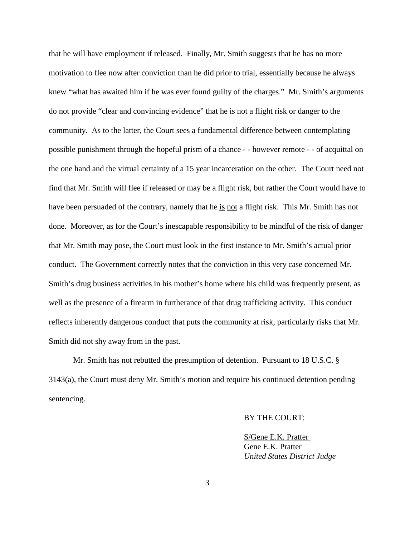that he will have employment if released. Finally, Mr. Smith suggests that he has no more motivation to flee now after conviction than he did prior to trial, essentially because he always knew "what has awaited him if he was ever found guilty of the charges." Mr. Smith's arguments do not provide "clear and convincing evidence" that he is not a flight risk or danger to the community. As to the latter, the Court sees a fundamental difference between contemplating possible punishment through the hopeful prism of a chance - - however remote - - of acquittal on the one hand and the virtual certainty of a 15 year incarceration on the other. The Court need not find that Mr. Smith will flee if released or may be a flight risk, but rather the Court would have to have been persuaded of the contrary, namely that he is not a flight risk. This Mr. Smith has not done. Moreover, as for the Court's inescapable responsibility to be mindful of the risk of danger that Mr. Smith may pose, the Court must look in the first instance to Mr. Smith's actual prior conduct. The Government correctly notes that the conviction in this very case concerned Mr. Smith's drug business activities in his mother's home where his child was frequently present, as well as the presence of a firearm in furtherance of that drug trafficking activity. This conduct reflects inherently dangerous conduct that puts the community at risk, particularly risks that Mr. Smith did not shy away from in the past.

Mr. Smith has not rebutted the presumption of detention. Pursuant to 18 U.S.C. § 3143(a), the Court must deny Mr. Smith's motion and require his continued detention pending sentencing.

## BY THE COURT:

S/Gene E.K. Pratter Gene E.K. Pratter *United States District Judge*